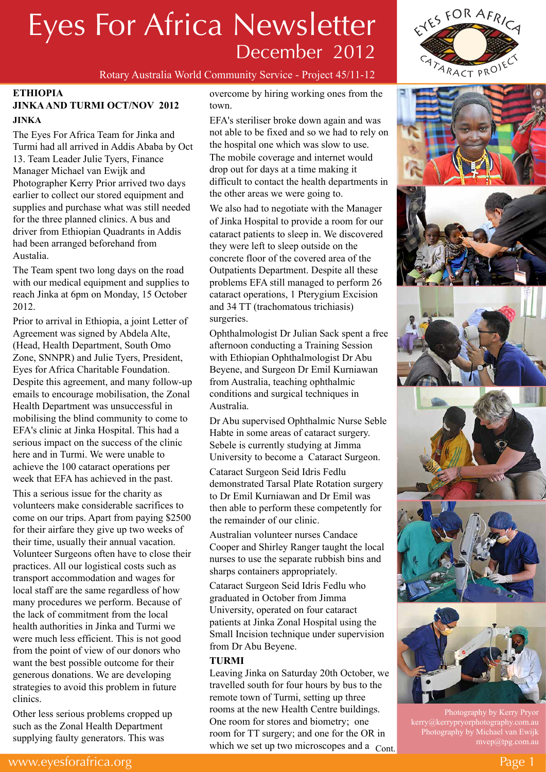

# ES FOR AFRICA CATARACT PROJE

#### **ETHIOPIA**

### **JINKA AND TURMI OCT/NOV 2012 JINKA**

The Eyes For Africa Team for Jinka and Turmi had all arrived in Addis Ababa by Oct 13. Team Leader Julie Tyers, Finance Manager Michael van Ewijk and Photographer Kerry Prior arrived two days earlier to collect our stored equipment and supplies and purchase what was still needed for the three planned clinics. A bus and driver from Ethiopian Quadrants in Addis had been arranged beforehand from Austalia.

The Team spent two long days on the road with our medical equipment and supplies to reach Jinka at 6pm on Monday, 15 October 2012.

Prior to arrival in Ethiopia, a joint Letter of Agreement was signed by Abdela Alte, (Head, Health Department, South Omo Zone, SNNPR) and Julie Tyers, President, Eyes for Africa Charitable Foundation. Despite this agreement, and many follow-up emails to encourage mobilisation, the Zonal Health Department was unsuccessful in mobilising the blind community to come to EFA's clinic at Jinka Hospital. This had a serious impact on the success of the clinic here and in Turmi. We were unable to achieve the 100 cataract operations per week that EFA has achieved in the past.

This a serious issue for the charity as volunteers make considerable sacrifices to come on our trips. Apart from paying \$2500 for their airfare they give up two weeks of their time, usually their annual vacation. Volunteer Surgeons often have to close their practices. All our logistical costs such as transport accommodation and wages for local staff are the same regardless of how many procedures we perform. Because of the lack of commitment from the local health authorities in Jinka and Turmi we were much less efficient. This is not good from the point of view of our donors who want the best possible outcome for their generous donations. We are developing strategies to avoid this problem in future clinics.

Other less serious problems cropped up such as the Zonal Health Department supplying faulty generators. This was

overcome by hiring working ones from the town.

EFA's steriliser broke down again and was not able to be fixed and so we had to rely on the hospital one which was slow to use. The mobile coverage and internet would drop out for days at a time making it difficult to contact the health departments in the other areas we were going to.

We also had to negotiate with the Manager of Jinka Hospital to provide a room for our cataract patients to sleep in. We discovered they were left to sleep outside on the concrete floor of the covered area of the Outpatients Department. Despite all these problems EFA still managed to perform 26 cataract operations, 1 Pterygium Excision and 34 TT (trachomatous trichiasis) surgeries.

Ophthalmologist Dr Julian Sack spent a free afternoon conducting a Training Session with Ethiopian Ophthalmologist Dr Abu Beyene, and Surgeon Dr Emil Kurniawan from Australia, teaching ophthalmic conditions and surgical techniques in Australia.

Dr Abu supervised Ophthalmic Nurse Seble Habte in some areas of cataract surgery. Sebele is currently studying at Jimma University to become a Cataract Surgeon.

Cataract Surgeon Seid Idris Fedlu demonstrated Tarsal Plate Rotation surgery to Dr Emil Kurniawan and Dr Emil was then able to perform these competently for the remainder of our clinic.

Australian volunteer nurses Candace Cooper and Shirley Ranger taught the local nurses to use the separate rubbish bins and sharps containers appropriately.

Cataract Surgeon Seid Idris Fedlu who graduated in October from Jimma University, operated on four cataract patients at Jinka Zonal Hospital using the Small Incision technique under supervision from Dr Abu Beyene.

#### **TURMI**

Leaving Jinka on Saturday 20th October, we travelled south for four hours by bus to the remote town of Turmi, setting up three rooms at the new Health Centre buildings. One room for stores and biometry; one room for TT surgery; and one for the OR in which we set up two microscopes and a Cont.







Photography by Kerry Pryor kerry@kerrypryorphotography.com.au Photography by Michael van Ewijk mvep@tpg.com.au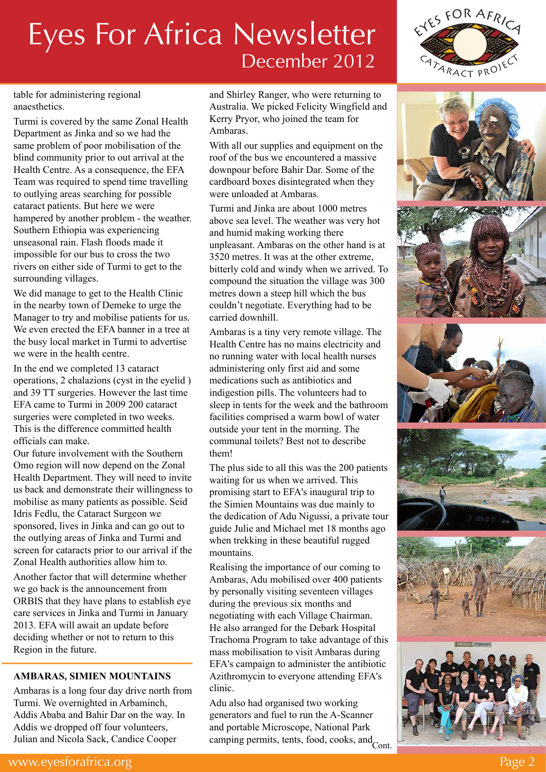

table for administering regional anaesthetics.

Turmi is covered by the same Zonal Health Department as Jinka and so we had the same problem of poor mobilisation of the blind community prior to out arrival at the Health Centre. As a consequence, the EFA Team was required to spend time travelling to outlying areas searching for possible cataract patients. But here we were hampered by another problem - the weather. Southern Ethiopia was experiencing unseasonal rain. Flash floods made it impossible for our bus to cross the two rivers on either side of Turmi to get to the surrounding villages.

We did manage to get to the Health Clinic in the nearby town of Demeke to urge the Manager to try and mobilise patients for us. We even erected the EFA banner in a tree at the busy local market in Turmi to advertise we were in the health centre.

In the end we completed 13 cataract operations, 2 chalazions (cyst in the eyelid ) and 39 TT surgeries. However the last time EFA came to Turmi in 2009 200 cataract surgeries were completed in two weeks. This is the difference committed health officials can make.

Our future involvement with the Southern Omo region will now depend on the Zonal Health Department. They will need to invite us back and demonstrate their willingness to mobilise as many patients as possible. Seid Idris Fedlu, the Cataract Surgeon we sponsored, lives in Jinka and can go out to the outlying areas of Jinka and Turmi and screen for cataracts prior to our arrival if the Zonal Health authorities allow him to.

Another factor that will determine whether we go back is the announcement from ORBIS that they have plans to establish eye care services in Jinka and Turmi in January 2013. EFA will await an update before deciding whether or not to return to this Region in the future.

## **AMBARAS, SIMIEN MOUNTAINS**

Ambaras is a long four day drive north from Turmi. We overnighted in Arbaminch, Addis Ababa and Bahir Dar on the way. In Addis we dropped off four volunteers, Julian and Nicola Sack, Candice Cooper

and Shirley Ranger, who were returning to Australia. We picked Felicity Wingfield and Kerry Pryor, who joined the team for Ambaras.

With all our supplies and equipment on the roof of the bus we encountered a massive downpour before Bahir Dar. Some of the cardboard boxes disintegrated when they were unloaded at Ambaras.

Turmi and Jinka are about 1000 metres above sea level. The weather was very hot and humid making working there unpleasant. Ambaras on the other hand is at 3520 metres. It was at the other extreme, bitterly cold and windy when we arrived. To compound the situation the village was 300 metres down a steep hill which the bus couldn't negotiate. Everything had to be carried downhill.

Ambaras is a tiny very remote village. The Health Centre has no mains electricity and no running water with local health nurses administering only first aid and some medications such as antibiotics and indigestion pills. The volunteers had to sleep in tents for the week and the bathroom facilities comprised a warm bowl of water outside your tent in the morning. The communal toilets? Best not to describe them!

The plus side to all this was the 200 patients waiting for us when we arrived. This promising start to EFA's inaugural trip to the Simien Mountains was due mainly to the dedication of Adu Nigussi, a private tour guide Julie and Michael met 18 months ago when trekking in these beautiful rugged mountains.

Realising the importance of our coming to Ambaras, Adu mobilised over 400 patients by personally visiting seventeen villages during the previous six months and negotiating the previous six months and negotiating with each Village Chairman. He also arranged for the Debark Hospital Trachoma Program to take advantage of this mass mobilisation to visit Ambaras during EFA's campaign to administer the antibiotic Azithromycin to everyone attending EFA's clinic.

Adu also had organised two working generators and fuel to run the A-Scanner and portable Microscope, National Park camping permits, tents, food, cooks, and Cont.







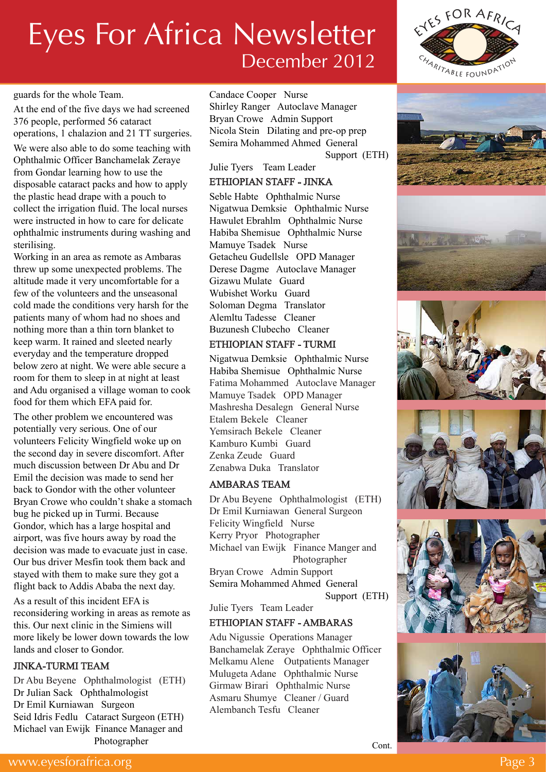#### guards for the whole Team.

At the end of the five days we had screened 376 people, performed 56 cataract operations, 1 chalazion and 21 TT surgeries. We were also able to do some teaching with

Ophthalmic Officer Banchamelak Zeraye from Gondar learning how to use the disposable cataract packs and how to apply the plastic head drape with a pouch to collect the irrigation fluid. The local nurses were instructed in how to care for delicate ophthalmic instruments during washing and sterilising.

Working in an area as remote as Ambaras threw up some unexpected problems. The altitude made it very uncomfortable for a few of the volunteers and the unseasonal cold made the conditions very harsh for the patients many of whom had no shoes and nothing more than a thin torn blanket to keep warm. It rained and sleeted nearly everyday and the temperature dropped below zero at night. We were able secure a room for them to sleep in at night at least and Adu organised a village woman to cook food for them which EFA paid for.

The other problem we encountered was potentially very serious. One of our volunteers Felicity Wingfield woke up on the second day in severe discomfort. After much discussion between Dr Abu and Dr Emil the decision was made to send her back to Gondor with the other volunteer Bryan Crowe who couldn't shake a stomach bug he picked up in Turmi. Because Gondor, which has a large hospital and airport, was five hours away by road the decision was made to evacuate just in case. Our bus driver Mesfin took them back and stayed with them to make sure they got a flight back to Addis Ababa the next day.

As a result of this incident EFA is reconsidering working in areas as remote as this. Our next clinic in the Simiens will more likely be lower down towards the low lands and closer to Gondor.

#### JINKA-TURMI TEAM

Dr Abu Beyene Ophthalmologist (ETH) Dr Julian Sack Ophthalmologist Dr Emil Kurniawan Surgeon Seid Idris Fedlu Cataract Surgeon (ETH) Michael van Ewijk Finance Manager and Photographer

Candace Cooper Nurse Shirley Ranger Autoclave Manager Bryan Crowe Admin Support Nicola Stein Dilating and pre-op prep Semira Mohammed Ahmed General Support (ETH)

# Julie Tyers Team Leader

# ETHIOPIAN STAFF - JINKA

Seble Habte Ophthalmic Nurse Nigatwua Demksie Ophthalmic Nurse Hawulet Ebrahlm Ophthalmic Nurse Habiba Shemisue Ophthalmic Nurse Mamuye Tsadek Nurse Getacheu Gudellsle OPD Manager Derese Dagme Autoclave Manager Gizawu Mulate Guard Wubishet Worku Guard Soloman Degma Translator Alemltu Tadesse Cleaner Buzunesh Clubecho Cleaner

## ETHIOPIAN STAFF - TURMI

Nigatwua Demksie Ophthalmic Nurse Habiba Shemisue Ophthalmic Nurse Fatima Mohammed Autoclave Manager Mamuye Tsadek OPD Manager Mashresha Desalegn General Nurse Etalem Bekele Cleaner Yemsirach Bekele Cleaner Kamburo Kumbi Guard Zenka Zeude Guard Zenabwa Duka Translator

## AMBARAS TEAM

Dr Abu Beyene Ophthalmologist (ETH) Dr Emil Kurniawan General Surgeon Felicity Wingfield Nurse Kerry Pryor Photographer Michael van Ewijk Finance Manger and Photographer Bryan Crowe Admin Support Semira Mohammed Ahmed General Support (ETH)

Julie Tyers Team Leader

## ETHIOPIAN STAFF - AMBARAS

Adu Nigussie Operations Manager Banchamelak Zeraye Ophthalmic Officer Melkamu Alene Outpatients Manager Mulugeta Adane Ophthalmic Nurse Girmaw Birari Ophthalmic Nurse Asmaru Shumye Cleaner / Guard Alembanch Tesfu Cleaner













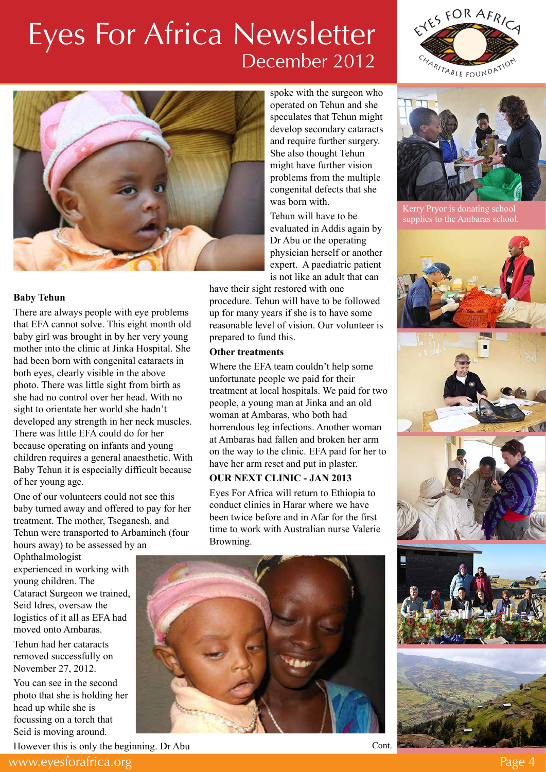



#### **Baby Tehun**

There are always people with eye problems that EFA cannot solve. This eight month old baby girl was brought in by her very young mother into the clinic at Jinka Hospital. She had been born with congenital cataracts in both eyes, clearly visible in the above photo. There was little sight from birth as she had no control over her head. With no sight to orientate her world she hadn't developed any strength in her neck muscles. There was little EFA could do for her because operating on infants and young children requires a general anaesthetic. With Baby Tehun it is especially difficult because of her young age.

One of our volunteers could not see this baby turned away and offered to pay for her treatment. The mother, Tseganesh, and Tehun were transported to Arbaminch (four hours away) to be assessed by an

Ophthalmologist experienced in working with young children. The Cataract Surgeon we trained, Seid Idres, oversaw the logistics of it all as EFA had moved onto Ambaras.

Tehun had her cataracts removed successfully on November 27, 2012.

You can see in the second photo that she is holding her head up while she is focussing on a torch that Seid is moving around.

However this is only the beginning. Dr Abu

spoke with the surgeon who operated on Tehun and she speculates that Tehun might develop secondary cataracts and require further surgery. She also thought Tehun might have further vision problems from the multiple congenital defects that she was born with.

Tehun will have to be evaluated in Addis again by Dr Abu or the operating physician herself or another expert. A paediatric patient is not like an adult that can

have their sight restored with one procedure. Tehun will have to be followed up for many years if she is to have some reasonable level of vision. Our volunteer is prepared to fund this.

#### **Other treatments**

Where the EFA team couldn't help some unfortunate people we paid for their treatment at local hospitals. We paid for two people, a young man at Jinka and an old woman at Ambaras, who both had horrendous leg infections. Another woman at Ambaras had fallen and broken her arm on the way to the clinic. EFA paid for her to have her arm reset and put in plaster.

#### **OUR NEXT CLINIC - JAN 2013**

Eyes For Africa will return to Ethiopia to conduct clinics in Harar where we have been twice before and in Afar for the first time to work with Australian nurse Valerie Browning.





Kerry Pryor is donating school supplies to the Ambaras school.









Cont.